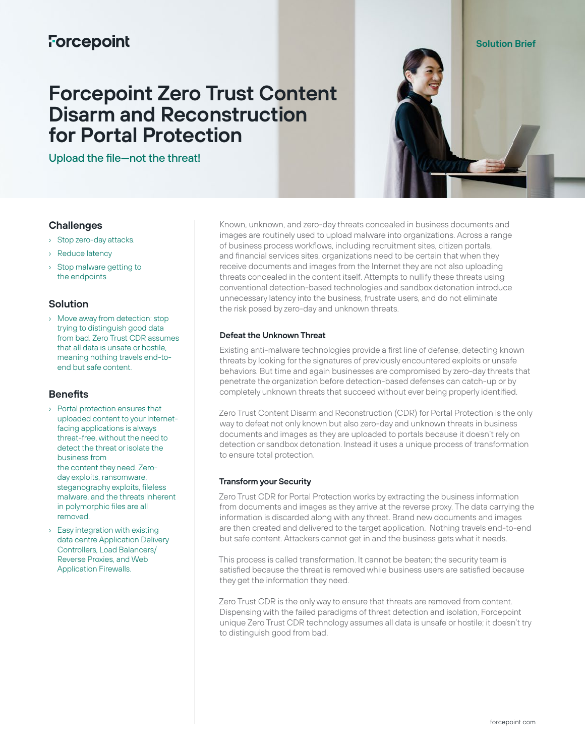# **Forcepoint**

# **Forcepoint Zero Trust Content Disarm and Reconstruction for Portal Protection**

Upload the file—not the threat!



# **Challenges**

- › Stop zero-day attacks.
- › Reduce latency
- › Stop malware getting to the endpoints

# **Solution**

› Move away from detection: stop trying to distinguish good data from bad. Zero Trust CDR assumes that all data is unsafe or hostile, meaning nothing travels end-toend but safe content.

# **Benefits**

- › Portal protection ensures that uploaded content to your Internetfacing applications is always threat-free, without the need to detect the threat or isolate the business from the content they need. Zeroday exploits, ransomware, steganography exploits, fileless malware, and the threats inherent in polymorphic files are all removed.
- › Easy integration with existing data centre Application Delivery Controllers, Load Balancers/ Reverse Proxies, and Web Application Firewalls.

Known, unknown, and zero-day threats concealed in business documents and images are routinely used to upload malware into organizations. Across a range of business process workflows, including recruitment sites, citizen portals, and financial services sites, organizations need to be certain that when they receive documents and images from the Internet they are not also uploading threats concealed in the content itself. Attempts to nullify these threats using conventional detection-based technologies and sandbox detonation introduce unnecessary latency into the business, frustrate users, and do not eliminate the risk posed by zero-day and unknown threats.

### **Defeat the Unknown Threat**

Existing anti-malware technologies provide a first line of defense, detecting known threats by looking for the signatures of previously encountered exploits or unsafe behaviors. But time and again businesses are compromised by zero-day threats that penetrate the organization before detection-based defenses can catch-up or by completely unknown threats that succeed without ever being properly identified.

Zero Trust Content Disarm and Reconstruction (CDR) for Portal Protection is the only way to defeat not only known but also zero-day and unknown threats in business documents and images as they are uploaded to portals because it doesn't rely on detection or sandbox detonation. Instead it uses a unique process of transformation to ensure total protection.

# **Transform your Security**

Zero Trust CDR for Portal Protection works by extracting the business information from documents and images as they arrive at the reverse proxy. The data carrying the information is discarded along with any threat. Brand new documents and images are then created and delivered to the target application. Nothing travels end-to-end but safe content. Attackers cannot get in and the business gets what it needs.

This process is called transformation. It cannot be beaten; the security team is satisfied because the threat is removed while business users are satisfied because they get the information they need.

Zero Trust CDR is the only way to ensure that threats are removed from content. Dispensing with the failed paradigms of threat detection and isolation, Forcepoint unique Zero Trust CDR technology assumes all data is unsafe or hostile; it doesn't try to distinguish good from bad.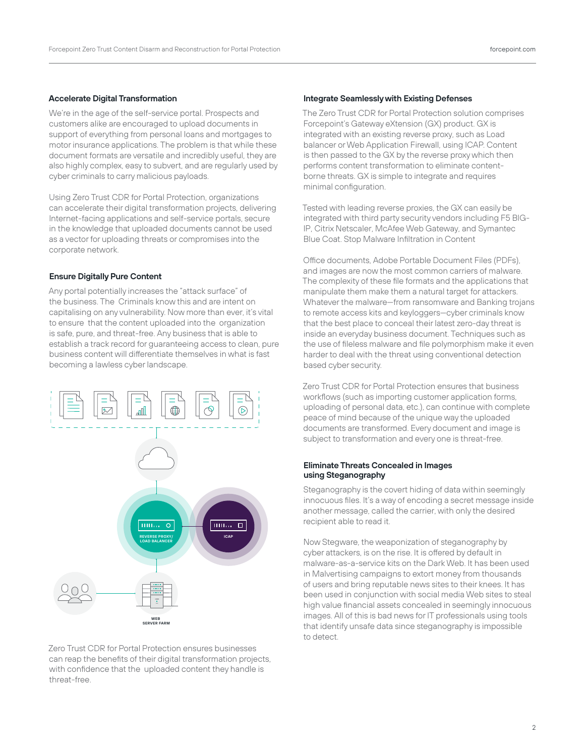# **Accelerate Digital Transformation**

We're in the age of the self-service portal. Prospects and customers alike are encouraged to upload documents in support of everything from personal loans and mortgages to motor insurance applications. The problem is that while these document formats are versatile and incredibly useful, they are also highly complex, easy to subvert, and are regularly used by cyber criminals to carry malicious payloads.

Using Zero Trust CDR for Portal Protection, organizations can accelerate their digital transformation projects, delivering Internet-facing applications and self-service portals, secure in the knowledge that uploaded documents cannot be used as a vector for uploading threats or compromises into the corporate network.

#### **Ensure Digitally Pure Content**

Any portal potentially increases the "attack surface" of the business. The Criminals know this and are intent on capitalising on any vulnerability. Now more than ever, it's vital to ensure that the content uploaded into the organization is safe, pure, and threat-free. Any business that is able to establish a track record for guaranteeing access to clean, pure business content will differentiate themselves in what is fast becoming a lawless cyber landscape.



Zero Trust CDR for Portal Protection ensures businesses can reap the benefits of their digital transformation projects, with confidence that the uploaded content they handle is threat-free.

#### **Integrate Seamlessly with Existing Defenses**

The Zero Trust CDR for Portal Protection solution comprises Forcepoint's Gateway eXtension (GX) product. GX is integrated with an existing reverse proxy, such as Load balancer or Web Application Firewall, using ICAP. Content is then passed to the GX by the reverse proxy which then performs content transformation to eliminate contentborne threats. GX is simple to integrate and requires minimal configuration.

Tested with leading reverse proxies, the GX can easily be integrated with third party security vendors including F5 BIG-IP, Citrix Netscaler, McAfee Web Gateway, and Symantec Blue Coat. Stop Malware Infiltration in Content

Office documents, Adobe Portable Document Files (PDFs), and images are now the most common carriers of malware. The complexity of these file formats and the applications that manipulate them make them a natural target for attackers. Whatever the malware—from ransomware and Banking trojans to remote access kits and keyloggers—cyber criminals know that the best place to conceal their latest zero-day threat is inside an everyday business document. Techniques such as the use of fileless malware and file polymorphism make it even harder to deal with the threat using conventional detection based cyber security.

Zero Trust CDR for Portal Protection ensures that business workflows (such as importing customer application forms, uploading of personal data, etc.), can continue with complete peace of mind because of the unique way the uploaded documents are transformed. Every document and image is subject to transformation and every one is threat-free.

#### **Eliminate Threats Concealed in Images using Steganography**

Steganography is the covert hiding of data within seemingly innocuous files. It's a way of encoding a secret message inside another message, called the carrier, with only the desired recipient able to read it.

Now Stegware, the weaponization of steganography by cyber attackers, is on the rise. It is offered by default in malware-as-a-service kits on the Dark Web. It has been used in Malvertising campaigns to extort money from thousands of users and bring reputable news sites to their knees. It has been used in conjunction with social media Web sites to steal high value financial assets concealed in seemingly innocuous images. All of this is bad news for IT professionals using tools that identify unsafe data since steganography is impossible to detect.